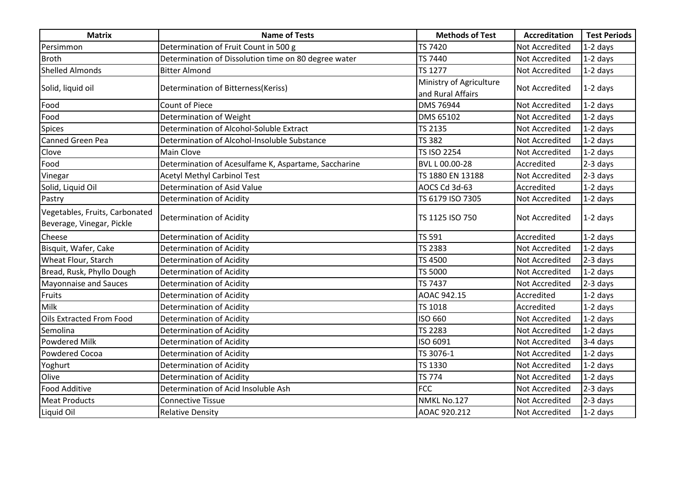| <b>Matrix</b>                  | <b>Name of Tests</b>                                 | <b>Methods of Test</b>  | <b>Accreditation</b>  | <b>Test Periods</b> |
|--------------------------------|------------------------------------------------------|-------------------------|-----------------------|---------------------|
| Persimmon                      | Determination of Fruit Count in 500 g                | <b>TS 7420</b>          | Not Accredited        | $1-2$ days          |
| <b>Broth</b>                   | Determination of Dissolution time on 80 degree water | TS 7440                 | <b>Not Accredited</b> | $1-2$ days          |
| <b>Shelled Almonds</b>         | <b>Bitter Almond</b>                                 | <b>TS 1277</b>          | Not Accredited        | $1-2$ days          |
| Solid, liquid oil              | Determination of Bitterness(Keriss)                  | Ministry of Agriculture | Not Accredited        | $1-2$ days          |
|                                |                                                      | and Rural Affairs       |                       |                     |
| Food                           | <b>Count of Piece</b>                                | DMS 76944               | Not Accredited        | $1-2$ days          |
| Food                           | Determination of Weight                              | DMS 65102               | Not Accredited        | $1-2$ days          |
| <b>Spices</b>                  | Determination of Alcohol-Soluble Extract             | TS 2135                 | Not Accredited        | $1-2$ days          |
| <b>Canned Green Pea</b>        | Determination of Alcohol-Insoluble Substance         | <b>TS 382</b>           | <b>Not Accredited</b> | $1-2$ days          |
| Clove                          | Main Clove                                           | <b>TS ISO 2254</b>      | <b>Not Accredited</b> | $1-2$ days          |
| Food                           | Determination of Acesulfame K, Aspartame, Saccharine | BVL L 00.00-28          | Accredited            | 2-3 days            |
| Vinegar                        | <b>Acetyl Methyl Carbinol Test</b>                   | TS 1880 EN 13188        | Not Accredited        | 2-3 days            |
| Solid, Liquid Oil              | Determination of Asid Value                          | AOCS Cd 3d-63           | Accredited            | $1-2$ days          |
| Pastry                         | Determination of Acidity                             | TS 6179 ISO 7305        | Not Accredited        | $1-2$ days          |
| Vegetables, Fruits, Carbonated |                                                      |                         |                       |                     |
| Beverage, Vinegar, Pickle      | Determination of Acidity                             | TS 1125 ISO 750         | Not Accredited        | $1-2$ days          |
| Cheese                         | Determination of Acidity                             | TS 591                  | Accredited            | $1-2$ days          |
| Bisquit, Wafer, Cake           | <b>Determination of Acidity</b>                      | <b>TS 2383</b>          | Not Accredited        | $1-2$ days          |
| Wheat Flour, Starch            | <b>Determination of Acidity</b>                      | TS 4500                 | <b>Not Accredited</b> | 2-3 days            |
| Bread, Rusk, Phyllo Dough      | Determination of Acidity                             | TS 5000                 | <b>Not Accredited</b> | $1-2$ days          |
| <b>Mayonnaise and Sauces</b>   | Determination of Acidity                             | TS 7437                 | Not Accredited        | 2-3 days            |
| Fruits                         | Determination of Acidity                             | AOAC 942.15             | Accredited            | $1-2$ days          |
| Milk                           | Determination of Acidity                             | TS 1018                 | Accredited            | $1-2$ days          |
| Oils Extracted From Food       | Determination of Acidity                             | ISO 660                 | Not Accredited        | 1-2 days            |
| Semolina                       | <b>Determination of Acidity</b>                      | <b>TS 2283</b>          | Not Accredited        | $1-2$ days          |
| <b>Powdered Milk</b>           | Determination of Acidity                             | ISO 6091                | Not Accredited        | 3-4 days            |
| Powdered Cocoa                 | Determination of Acidity                             | TS 3076-1               | Not Accredited        | $1-2$ days          |
| Yoghurt                        | Determination of Acidity                             | TS 1330                 | Not Accredited        | 1-2 days            |
| Olive                          | <b>Determination of Acidity</b>                      | <b>TS 774</b>           | Not Accredited        | 1-2 days            |
| <b>Food Additive</b>           | Determination of Acid Insoluble Ash                  | <b>FCC</b>              | Not Accredited        | 2-3 days            |
| <b>Meat Products</b>           | <b>Connective Tissue</b>                             | NMKL No.127             | <b>Not Accredited</b> | 2-3 days            |
| Liquid Oil                     | <b>Relative Density</b>                              | AOAC 920.212            | <b>Not Accredited</b> | $1-2$ days          |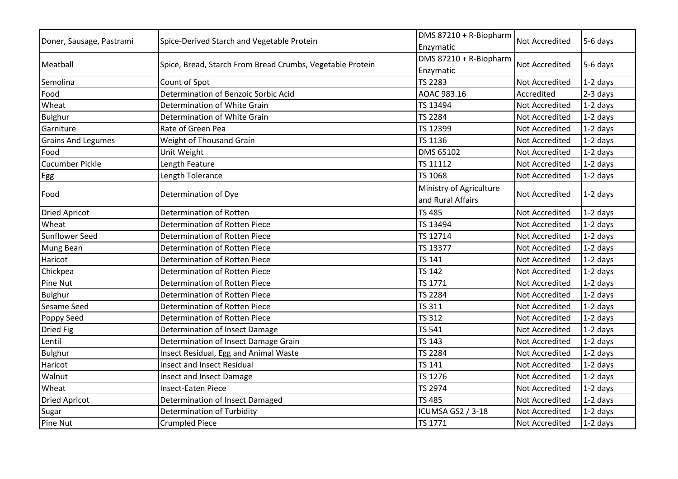| Doner, Sausage, Pastrami  | Spice-Derived Starch and Vegetable Protein                | DMS 87210 + R-Biopharm<br>Enzymatic | <b>Not Accredited</b> | $5-6$ days |
|---------------------------|-----------------------------------------------------------|-------------------------------------|-----------------------|------------|
| Meatball                  | Spice, Bread, Starch From Bread Crumbs, Vegetable Protein | DMS 87210 + R-Biopharm              | Not Accredited        | $5-6$ days |
|                           |                                                           | Enzymatic                           |                       |            |
| Semolina                  | Count of Spot                                             | <b>TS 2283</b>                      | Not Accredited        | $1-2$ days |
| Food                      | Determination of Benzoic Sorbic Acid                      | AOAC 983.16                         | Accredited            | $2-3$ days |
| Wheat                     | Determination of White Grain                              | TS 13494                            | <b>Not Accredited</b> | $1-2$ days |
| <b>Bulghur</b>            | Determination of White Grain                              | TS 2284                             | Not Accredited        | $1-2$ days |
| Garniture                 | Rate of Green Pea                                         | TS 12399                            | <b>Not Accredited</b> | $1-2$ days |
| <b>Grains And Legumes</b> | Weight of Thousand Grain                                  | TS 1136                             | Not Accredited        | $1-2$ days |
| Food                      | Unit Weight                                               | DMS 65102                           | <b>Not Accredited</b> | $1-2$ days |
| <b>Cucumber Pickle</b>    | Length Feature                                            | TS 11112                            | <b>Not Accredited</b> | $1-2$ days |
| Egg                       | Length Tolerance                                          | TS 1068                             | Not Accredited        | $1-2$ days |
| Food                      | Determination of Dye                                      | Ministry of Agriculture             | Not Accredited        | $1-2$ days |
|                           |                                                           | and Rural Affairs                   |                       |            |
| <b>Dried Apricot</b>      | Determination of Rotten                                   | <b>TS 485</b>                       | Not Accredited        | $1-2$ days |
| Wheat                     | Determination of Rotten Piece                             | TS 13494                            | <b>Not Accredited</b> | $1-2$ days |
| <b>Sunflower Seed</b>     | Determination of Rotten Piece                             | TS 12714                            | Not Accredited        | $1-2$ days |
| Mung Bean                 | Determination of Rotten Piece                             | TS 13377                            | Not Accredited        | $1-2$ days |
| Haricot                   | Determination of Rotten Piece                             | TS 141                              | <b>Not Accredited</b> | $1-2$ days |
| Chickpea                  | Determination of Rotten Piece                             | <b>TS 142</b>                       | <b>Not Accredited</b> | 1-2 days   |
| Pine Nut                  | Determination of Rotten Piece                             | TS 1771                             | Not Accredited        | $1-2$ days |
| <b>Bulghur</b>            | Determination of Rotten Piece                             | <b>TS 2284</b>                      | Not Accredited        | $1-2$ days |
| Sesame Seed               | Determination of Rotten Piece                             | <b>TS 311</b>                       | <b>Not Accredited</b> | $1-2$ days |
| Poppy Seed                | Determination of Rotten Piece                             | <b>TS 312</b>                       | Not Accredited        | $1-2$ days |
| Dried Fig                 | Determination of Insect Damage                            | <b>TS 541</b>                       | <b>Not Accredited</b> | $1-2$ days |
| Lentil                    | Determination of Insect Damage Grain                      | TS 143                              | Not Accredited        | $1-2$ days |
| <b>Bulghur</b>            | Insect Residual, Egg and Animal Waste                     | <b>TS 2284</b>                      | Not Accredited        | $1-2$ days |
| Haricot                   | Insect and Insect Residual                                | <b>TS 141</b>                       | <b>Not Accredited</b> | $1-2$ days |
| Walnut                    | Insect and Insect Damage                                  | TS 1276                             | <b>Not Accredited</b> | $1-2$ days |
| Wheat                     | <b>Insect-Eaten Piece</b>                                 | TS 2974                             | <b>Not Accredited</b> | $1-2$ days |
| <b>Dried Apricot</b>      | Determination of Insect Damaged                           | <b>TS 485</b>                       | <b>Not Accredited</b> | $1-2$ days |
| Sugar                     | <b>Determination of Turbidity</b>                         | ICUMSA GS2 / 3-18                   | Not Accredited        | $1-2$ days |
| Pine Nut                  | <b>Crumpled Piece</b>                                     | TS 1771                             | <b>Not Accredited</b> | $1-2$ days |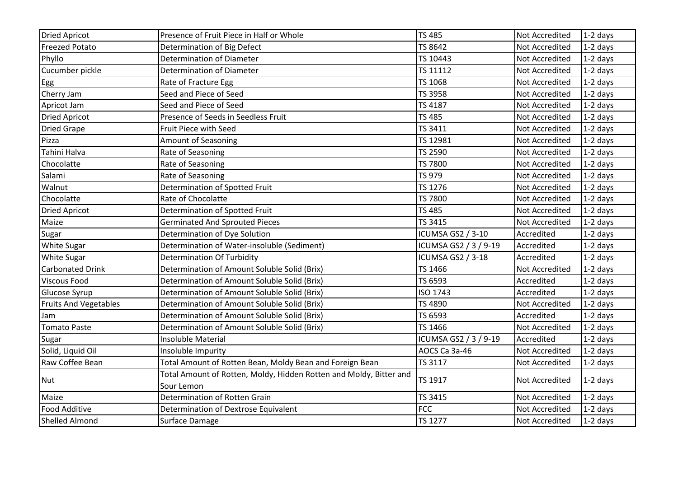| <b>Dried Apricot</b>         | Presence of Fruit Piece in Half or Whole                                         | <b>TS 485</b>            | Not Accredited        | $1-2$ days |
|------------------------------|----------------------------------------------------------------------------------|--------------------------|-----------------------|------------|
| <b>Freezed Potato</b>        | Determination of Big Defect                                                      | TS 8642                  | <b>Not Accredited</b> | $1-2$ days |
| Phyllo                       | Determination of Diameter                                                        | TS 10443                 | Not Accredited        | $1-2$ days |
| Cucumber pickle              | Determination of Diameter                                                        | TS 11112                 | Not Accredited        | $1-2$ days |
| Egg                          | Rate of Fracture Egg                                                             | TS 1068                  | Not Accredited        | $1-2$ days |
| Cherry Jam                   | Seed and Piece of Seed                                                           | TS 3958                  | Not Accredited        | $1-2$ days |
| Apricot Jam                  | Seed and Piece of Seed                                                           | TS 4187                  | Not Accredited        | $1-2$ days |
| <b>Dried Apricot</b>         | Presence of Seeds in Seedless Fruit                                              | <b>TS 485</b>            | Not Accredited        | $1-2$ days |
| <b>Dried Grape</b>           | Fruit Piece with Seed                                                            | TS 3411                  | Not Accredited        | $1-2$ days |
| Pizza                        | <b>Amount of Seasoning</b>                                                       | TS 12981                 | Not Accredited        | $1-2$ days |
| Tahini Halva                 | Rate of Seasoning                                                                | <b>TS 2590</b>           | Not Accredited        | $1-2$ days |
| Chocolatte                   | Rate of Seasoning                                                                | <b>TS 7800</b>           | Not Accredited        | $1-2$ days |
| Salami                       | Rate of Seasoning                                                                | <b>TS 979</b>            | Not Accredited        | $1-2$ days |
| Walnut                       | Determination of Spotted Fruit                                                   | TS 1276                  | Not Accredited        | $1-2$ days |
| Chocolatte                   | Rate of Chocolatte                                                               | TS 7800                  | Not Accredited        | $1-2$ days |
| <b>Dried Apricot</b>         | Determination of Spotted Fruit                                                   | <b>TS 485</b>            | Not Accredited        | $1-2$ days |
| Maize                        | <b>Germinated And Sprouted Pieces</b>                                            | TS 3415                  | Not Accredited        | $1-2$ days |
| Sugar                        | Determination of Dye Solution                                                    | ICUMSA GS2 / 3-10        | Accredited            | $1-2$ days |
| <b>White Sugar</b>           | Determination of Water-insoluble (Sediment)                                      | ICUMSA GS2 / 3 / 9-19    | Accredited            | $1-2$ days |
| <b>White Sugar</b>           | <b>Determination Of Turbidity</b>                                                | <b>ICUMSA GS2 / 3-18</b> | Accredited            | $1-2$ days |
| <b>Carbonated Drink</b>      | Determination of Amount Soluble Solid (Brix)                                     | TS 1466                  | Not Accredited        | $1-2$ days |
| <b>Viscous Food</b>          | Determination of Amount Soluble Solid (Brix)                                     | TS 6593                  | Accredited            | $1-2$ days |
| Glucose Syrup                | Determination of Amount Soluble Solid (Brix)                                     | <b>ISO 1743</b>          | Accredited            | $1-2$ days |
| <b>Fruits And Vegetables</b> | Determination of Amount Soluble Solid (Brix)                                     | TS 4890                  | Not Accredited        | $1-2$ days |
| Jam                          | Determination of Amount Soluble Solid (Brix)                                     | TS 6593                  | Accredited            | $1-2$ days |
| <b>Tomato Paste</b>          | Determination of Amount Soluble Solid (Brix)                                     | TS 1466                  | <b>Not Accredited</b> | $1-2$ days |
| Sugar                        | Insoluble Material                                                               | ICUMSA GS2 / 3 / 9-19    | Accredited            | $1-2$ days |
| Solid, Liquid Oil            | Insoluble Impurity                                                               | AOCS Ca 3a-46            | <b>Not Accredited</b> | $1-2$ days |
| Raw Coffee Bean              | Total Amount of Rotten Bean, Moldy Bean and Foreign Bean                         | TS 3117                  | Not Accredited        | $1-2$ days |
| <b>Nut</b>                   | Total Amount of Rotten, Moldy, Hidden Rotten and Moldy, Bitter and<br>Sour Lemon | TS 1917                  | Not Accredited        | $1-2$ days |
| Maize                        | Determination of Rotten Grain                                                    | TS 3415                  | Not Accredited        | $1-2$ days |
| <b>Food Additive</b>         | Determination of Dextrose Equivalent                                             | <b>FCC</b>               | Not Accredited        | $1-2$ days |
| <b>Shelled Almond</b>        | Surface Damage                                                                   | <b>TS 1277</b>           | <b>Not Accredited</b> | $1-2$ days |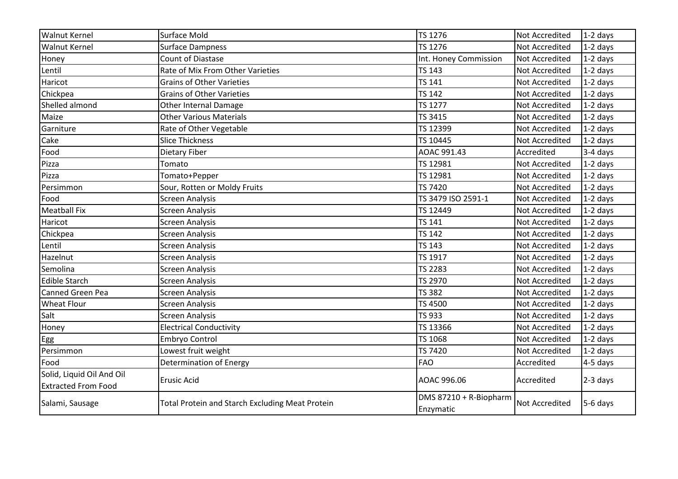| <b>Walnut Kernel</b>                                    | Surface Mold                                    | TS 1276                             | Not Accredited        | $1-2$ days |
|---------------------------------------------------------|-------------------------------------------------|-------------------------------------|-----------------------|------------|
| <b>Walnut Kernel</b>                                    | <b>Surface Dampness</b>                         | TS 1276                             | <b>Not Accredited</b> | $1-2$ days |
| Honey                                                   | <b>Count of Diastase</b>                        | Int. Honey Commission               | <b>Not Accredited</b> | $1-2$ days |
| Lentil                                                  | Rate of Mix From Other Varieties                | <b>TS 143</b>                       | <b>Not Accredited</b> | $1-2$ days |
| Haricot                                                 | <b>Grains of Other Varieties</b>                | <b>TS 141</b>                       | Not Accredited        | $1-2$ days |
| Chickpea                                                | <b>Grains of Other Varieties</b>                | <b>TS 142</b>                       | <b>Not Accredited</b> | $1-2$ days |
| Shelled almond                                          | <b>Other Internal Damage</b>                    | TS 1277                             | <b>Not Accredited</b> | $1-2$ days |
| Maize                                                   | <b>Other Various Materials</b>                  | TS 3415                             | <b>Not Accredited</b> | 1-2 days   |
| Garniture                                               | Rate of Other Vegetable                         | TS 12399                            | <b>Not Accredited</b> | $1-2$ days |
| Cake                                                    | <b>Slice Thickness</b>                          | TS 10445                            | <b>Not Accredited</b> | $1-2$ days |
| Food                                                    | Dietary Fiber                                   | AOAC 991.43                         | Accredited            | 3-4 days   |
| Pizza                                                   | Tomato                                          | TS 12981                            | <b>Not Accredited</b> | $1-2$ days |
| Pizza                                                   | Tomato+Pepper                                   | TS 12981                            | Not Accredited        | $1-2$ days |
| Persimmon                                               | Sour, Rotten or Moldy Fruits                    | TS 7420                             | Not Accredited        | $1-2$ days |
| Food                                                    | <b>Screen Analysis</b>                          | TS 3479 ISO 2591-1                  | Not Accredited        | $1-2$ days |
| <b>Meatball Fix</b>                                     | <b>Screen Analysis</b>                          | TS 12449                            | <b>Not Accredited</b> | $1-2$ days |
| Haricot                                                 | <b>Screen Analysis</b>                          | <b>TS 141</b>                       | <b>Not Accredited</b> | $1-2$ days |
| Chickpea                                                | <b>Screen Analysis</b>                          | <b>TS 142</b>                       | Not Accredited        | $1-2$ days |
| Lentil                                                  | <b>Screen Analysis</b>                          | <b>TS 143</b>                       | Not Accredited        | $1-2$ days |
| Hazelnut                                                | <b>Screen Analysis</b>                          | TS 1917                             | <b>Not Accredited</b> | $1-2$ days |
| Semolina                                                | <b>Screen Analysis</b>                          | <b>TS 2283</b>                      | Not Accredited        | $1-2$ days |
| <b>Edible Starch</b>                                    | <b>Screen Analysis</b>                          | TS 2970                             | Not Accredited        | $1-2$ days |
| <b>Canned Green Pea</b>                                 | <b>Screen Analysis</b>                          | <b>TS 382</b>                       | <b>Not Accredited</b> | $1-2$ days |
| <b>Wheat Flour</b>                                      | <b>Screen Analysis</b>                          | TS 4500                             | <b>Not Accredited</b> | $1-2$ days |
| Salt                                                    | <b>Screen Analysis</b>                          | TS 933                              | Not Accredited        | $1-2$ days |
| Honey                                                   | <b>Electrical Conductivity</b>                  | TS 13366                            | Not Accredited        | $1-2$ days |
| Egg                                                     | Embryo Control                                  | TS 1068                             | Not Accredited        | $1-2$ days |
| Persimmon                                               | Lowest fruit weight                             | <b>TS 7420</b>                      | Not Accredited        | $1-2$ days |
| Food                                                    | Determination of Energy                         | <b>FAO</b>                          | Accredited            | 4-5 days   |
| Solid, Liquid Oil And Oil<br><b>Extracted From Food</b> | <b>Erusic Acid</b>                              | AOAC 996.06                         | Accredited            | $2-3$ days |
| Salami, Sausage                                         | Total Protein and Starch Excluding Meat Protein | DMS 87210 + R-Biopharm<br>Enzymatic | <b>Not Accredited</b> | 5-6 days   |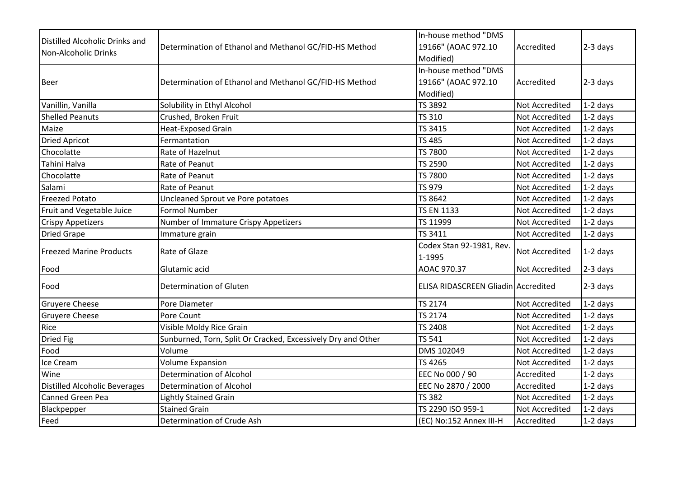| Distilled Alcoholic Drinks and       | Determination of Ethanol and Methanol GC/FID-HS Method       | In-house method "DMS<br>19166" (AOAC 972.10 | Accredited            | $2-3$ days |
|--------------------------------------|--------------------------------------------------------------|---------------------------------------------|-----------------------|------------|
| Non-Alcoholic Drinks                 |                                                              | Modified)                                   |                       |            |
|                                      |                                                              | In-house method "DMS                        |                       |            |
| <b>Beer</b>                          | Determination of Ethanol and Methanol GC/FID-HS Method       | 19166" (AOAC 972.10                         | Accredited            | $2-3$ days |
|                                      |                                                              | Modified)                                   |                       |            |
| Vanillin, Vanilla                    | Solubility in Ethyl Alcohol                                  | TS 3892                                     | Not Accredited        | $1-2$ days |
| <b>Shelled Peanuts</b>               | Crushed, Broken Fruit                                        | <b>TS 310</b>                               | <b>Not Accredited</b> | $1-2$ days |
| Maize                                | <b>Heat-Exposed Grain</b>                                    | TS 3415                                     | Not Accredited        | $1-2$ days |
| <b>Dried Apricot</b>                 | Fermantation                                                 | <b>TS 485</b>                               | Not Accredited        | $1-2$ days |
| Chocolatte                           | Rate of Hazelnut                                             | <b>TS 7800</b>                              | Not Accredited        | $1-2$ days |
| Tahini Halva                         | Rate of Peanut                                               | TS 2590                                     | <b>Not Accredited</b> | $1-2$ days |
| Chocolatte                           | Rate of Peanut                                               | TS 7800                                     | <b>Not Accredited</b> | $1-2$ days |
| Salami                               | Rate of Peanut                                               | TS 979                                      | <b>Not Accredited</b> | $1-2$ days |
| <b>Freezed Potato</b>                | Uncleaned Sprout ve Pore potatoes                            | TS 8642                                     | Not Accredited        | $1-2$ days |
| Fruit and Vegetable Juice            | <b>Formol Number</b>                                         | <b>TS EN 1133</b>                           | <b>Not Accredited</b> | $1-2$ days |
| <b>Crispy Appetizers</b>             | Number of Immature Crispy Appetizers                         | TS 11999                                    | <b>Not Accredited</b> | $1-2$ days |
| <b>Dried Grape</b>                   | Immature grain                                               | TS 3411                                     | Not Accredited        | 1-2 days   |
| <b>Freezed Marine Products</b>       | Rate of Glaze                                                | Codex Stan 92-1981, Rev.<br>1-1995          | Not Accredited        | $1-2$ days |
| Food                                 | Glutamic acid                                                | AOAC 970.37                                 | <b>Not Accredited</b> | 2-3 days   |
| Food                                 | Determination of Gluten                                      | <b>ELISA RIDASCREEN Gliadin Accredited</b>  |                       | 2-3 days   |
| <b>Gruyere Cheese</b>                | Pore Diameter                                                | TS 2174                                     | <b>Not Accredited</b> | $1-2$ days |
| <b>Gruyere Cheese</b>                | Pore Count                                                   | <b>TS 2174</b>                              | Not Accredited        | $1-2$ days |
| Rice                                 | Visible Moldy Rice Grain                                     | <b>TS 2408</b>                              | <b>Not Accredited</b> | $1-2$ days |
| Dried Fig                            | Sunburned, Torn, Split Or Cracked, Excessively Dry and Other | <b>TS 541</b>                               | Not Accredited        | $1-2$ days |
| Food                                 | Volume                                                       | DMS 102049                                  | Not Accredited        | $1-2$ days |
| Ice Cream                            | <b>Volume Expansion</b>                                      | TS 4265                                     | <b>Not Accredited</b> | $1-2$ days |
| Wine                                 | <b>Determination of Alcohol</b>                              | EEC No 000 / 90                             | Accredited            | 1-2 days   |
| <b>Distilled Alcoholic Beverages</b> | <b>Determination of Alcohol</b>                              | EEC No 2870 / 2000                          | Accredited            | $1-2$ days |
| <b>Canned Green Pea</b>              | <b>Lightly Stained Grain</b>                                 | <b>TS 382</b>                               | <b>Not Accredited</b> | $1-2$ days |
| Blackpepper                          | <b>Stained Grain</b>                                         | TS 2290 ISO 959-1                           | <b>Not Accredited</b> | 1-2 days   |
| Feed                                 | Determination of Crude Ash                                   | (EC) No:152 Annex III-H                     | Accredited            | $1-2$ days |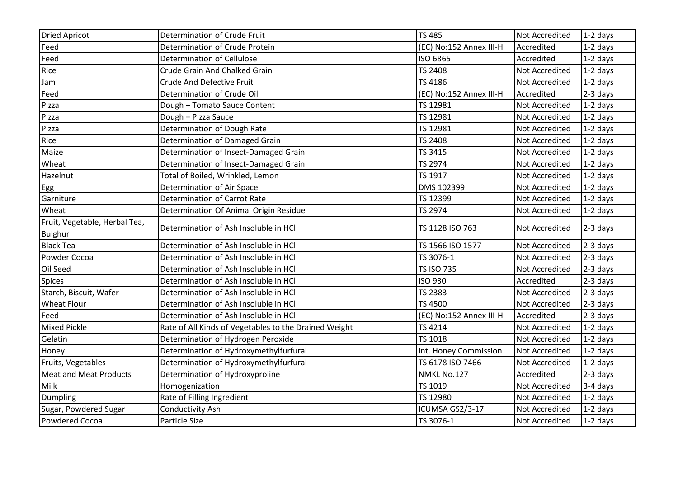| <b>Dried Apricot</b>                            | Determination of Crude Fruit                          | <b>TS 485</b>           | Not Accredited        | $1-2$ days |
|-------------------------------------------------|-------------------------------------------------------|-------------------------|-----------------------|------------|
| Feed                                            | Determination of Crude Protein                        | (EC) No:152 Annex III-H | Accredited            | 1-2 days   |
| Feed                                            | Determination of Cellulose                            | ISO 6865                | Accredited            | $1-2$ days |
| Rice                                            | Crude Grain And Chalked Grain                         | <b>TS 2408</b>          | Not Accredited        | $1-2$ days |
| Jam                                             | <b>Crude And Defective Fruit</b>                      | TS 4186                 | Not Accredited        | 1-2 days   |
| Feed                                            | Determination of Crude Oil                            | (EC) No:152 Annex III-H | Accredited            | 2-3 days   |
| Pizza                                           | Dough + Tomato Sauce Content                          | TS 12981                | Not Accredited        | $1-2$ days |
| Pizza                                           | Dough + Pizza Sauce                                   | TS 12981                | <b>Not Accredited</b> | $1-2$ days |
| Pizza                                           | Determination of Dough Rate                           | TS 12981                | <b>Not Accredited</b> | $1-2$ days |
| Rice                                            | Determination of Damaged Grain                        | <b>TS 2408</b>          | Not Accredited        | $1-2$ days |
| Maize                                           | Determination of Insect-Damaged Grain                 | TS 3415                 | <b>Not Accredited</b> | $1-2$ days |
| Wheat                                           | Determination of Insect-Damaged Grain                 | <b>TS 2974</b>          | Not Accredited        | $1-2$ days |
| Hazelnut                                        | Total of Boiled, Wrinkled, Lemon                      | TS 1917                 | Not Accredited        | 1-2 days   |
| Egg                                             | Determination of Air Space                            | DMS 102399              | Not Accredited        | $1-2$ days |
| Garniture                                       | Determination of Carrot Rate                          | TS 12399                | Not Accredited        | $1-2$ days |
| Wheat                                           | Determination Of Animal Origin Residue                | <b>TS 2974</b>          | Not Accredited        | $1-2$ days |
| Fruit, Vegetable, Herbal Tea,<br><b>Bulghur</b> | Determination of Ash Insoluble in HCl                 | TS 1128 ISO 763         | <b>Not Accredited</b> | $2-3$ days |
| <b>Black Tea</b>                                | Determination of Ash Insoluble in HCl                 | TS 1566 ISO 1577        | Not Accredited        | 2-3 days   |
| Powder Cocoa                                    | Determination of Ash Insoluble in HCl                 | TS 3076-1               | Not Accredited        | 2-3 days   |
| Oil Seed                                        | Determination of Ash Insoluble in HCl                 | <b>TS ISO 735</b>       | Not Accredited        | 2-3 days   |
| <b>Spices</b>                                   | Determination of Ash Insoluble in HCl                 | <b>ISO 930</b>          | Accredited            | $2-3$ days |
| Starch, Biscuit, Wafer                          | Determination of Ash Insoluble in HCl                 | <b>TS 2383</b>          | Not Accredited        | 2-3 days   |
| <b>Wheat Flour</b>                              | Determination of Ash Insoluble in HCl                 | <b>TS 4500</b>          | <b>Not Accredited</b> | 2-3 days   |
| Feed                                            | Determination of Ash Insoluble in HCl                 | (EC) No:152 Annex III-H | Accredited            | $2-3$ days |
| <b>Mixed Pickle</b>                             | Rate of All Kinds of Vegetables to the Drained Weight | TS 4214                 | Not Accredited        | $1-2$ days |
| Gelatin                                         | Determination of Hydrogen Peroxide                    | <b>TS 1018</b>          | <b>Not Accredited</b> | $1-2$ days |
| Honey                                           | Determination of Hydroxymethylfurfural                | Int. Honey Commission   | <b>Not Accredited</b> | $1-2$ days |
| Fruits, Vegetables                              | Determination of Hydroxymethylfurfural                | TS 6178 ISO 7466        | Not Accredited        | 1-2 days   |
| <b>Meat and Meat Products</b>                   | Determination of Hydroxyproline                       | NMKL No.127             | Accredited            | 2-3 days   |
| Milk                                            | Homogenization                                        | TS 1019                 | Not Accredited        | 3-4 days   |
| Dumpling                                        | Rate of Filling Ingredient                            | TS 12980                | Not Accredited        | $1-2$ days |
| Sugar, Powdered Sugar                           | Conductivity Ash                                      | ICUMSA GS2/3-17         | Not Accredited        | $1-2$ days |
| Powdered Cocoa                                  | Particle Size                                         | TS 3076-1               | Not Accredited        | $1-2$ days |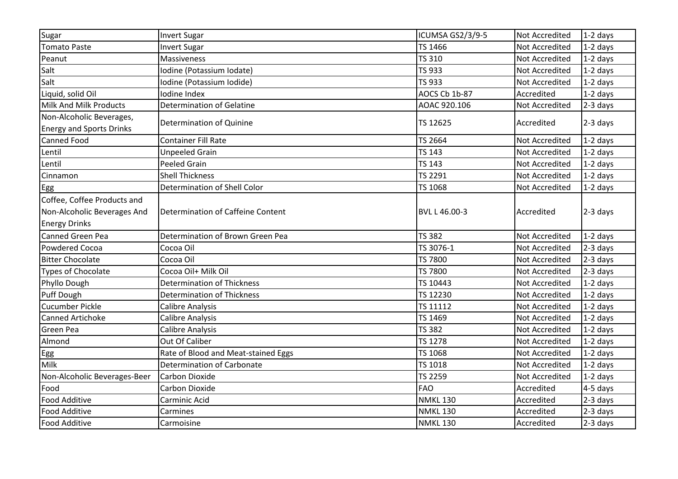| Sugar                                                       | <b>Invert Sugar</b>                 | ICUMSA GS2/3/9-5    | Not Accredited        | $1-2$ days |
|-------------------------------------------------------------|-------------------------------------|---------------------|-----------------------|------------|
| <b>Tomato Paste</b>                                         | <b>Invert Sugar</b>                 | TS 1466             | <b>Not Accredited</b> | $1-2$ days |
| Peanut                                                      | Massiveness                         | <b>TS 310</b>       | <b>Not Accredited</b> | $1-2$ days |
| Salt                                                        | Iodine (Potassium Iodate)           | TS 933              | <b>Not Accredited</b> | $1-2$ days |
| Salt                                                        | Iodine (Potassium Iodide)           | <b>TS 933</b>       | <b>Not Accredited</b> | $1-2$ days |
| Liquid, solid Oil                                           | Iodine Index                        | AOCS Cb 1b-87       | Accredited            | $1-2$ days |
| <b>Milk And Milk Products</b>                               | <b>Determination of Gelatine</b>    | AOAC 920.106        | <b>Not Accredited</b> | $2-3$ days |
| Non-Alcoholic Beverages,<br><b>Energy and Sports Drinks</b> | Determination of Quinine            | TS 12625            | Accredited            | $2-3$ days |
| <b>Canned Food</b>                                          | <b>Container Fill Rate</b>          | TS 2664             | <b>Not Accredited</b> | $1-2$ days |
| Lentil                                                      | <b>Unpeeled Grain</b>               | <b>TS 143</b>       | <b>Not Accredited</b> | $1-2$ days |
| Lentil                                                      | <b>Peeled Grain</b>                 | <b>TS 143</b>       | <b>Not Accredited</b> | $1-2$ days |
| Cinnamon                                                    | <b>Shell Thickness</b>              | TS 2291             | <b>Not Accredited</b> | $1-2$ days |
| Egg                                                         | Determination of Shell Color        | TS 1068             | Not Accredited        | $1-2$ days |
| Coffee, Coffee Products and                                 |                                     |                     |                       |            |
| Non-Alcoholic Beverages And                                 | Determination of Caffeine Content   | BVL L 46.00-3       | Accredited            | $2-3$ days |
| <b>Energy Drinks</b>                                        |                                     |                     |                       |            |
| <b>Canned Green Pea</b>                                     | Determination of Brown Green Pea    | <b>TS 382</b>       | <b>Not Accredited</b> | $1-2$ days |
| <b>Powdered Cocoa</b>                                       | Cocoa Oil                           | TS 3076-1           | <b>Not Accredited</b> | $2-3$ days |
| <b>Bitter Chocolate</b>                                     | Cocoa Oil                           | TS 7800             | <b>Not Accredited</b> | 2-3 days   |
| Types of Chocolate                                          | Cocoa Oil+ Milk Oil                 | TS 7800             | Not Accredited        | $2-3$ days |
| Phyllo Dough                                                | <b>Determination of Thickness</b>   | TS 10443            | <b>Not Accredited</b> | $1-2$ days |
| Puff Dough                                                  | <b>Determination of Thickness</b>   | TS 12230            | <b>Not Accredited</b> | $1-2$ days |
| <b>Cucumber Pickle</b>                                      | <b>Calibre Analysis</b>             | TS 11112            | <b>Not Accredited</b> | $1-2$ days |
| <b>Canned Artichoke</b>                                     | <b>Calibre Analysis</b>             | TS 1469             | <b>Not Accredited</b> | $1-2$ days |
| Green Pea                                                   | <b>Calibre Analysis</b>             | <b>TS 382</b>       | Not Accredited        | $1-2$ days |
| Almond                                                      | Out Of Caliber                      | <b>TS 1278</b>      | <b>Not Accredited</b> | $1-2$ days |
| Egg                                                         | Rate of Blood and Meat-stained Eggs | TS 1068             | <b>Not Accredited</b> | $1-2$ days |
| Milk                                                        | Determination of Carbonate          | TS 1018             | <b>Not Accredited</b> | $1-2$ days |
| Non-Alcoholic Beverages-Beer                                | Carbon Dioxide                      | TS 2259             | <b>Not Accredited</b> | $1-2$ days |
| Food                                                        | <b>Carbon Dioxide</b>               | <b>FAO</b>          | Accredited            | 4-5 days   |
| <b>Food Additive</b>                                        | Carminic Acid                       | <b>NMKL130</b>      | Accredited            | $2-3$ days |
| <b>Food Additive</b>                                        | Carmines                            | NMKL <sub>130</sub> | Accredited            | 2-3 days   |
| <b>Food Additive</b>                                        | Carmoisine                          | <b>NMKL130</b>      | Accredited            | 2-3 days   |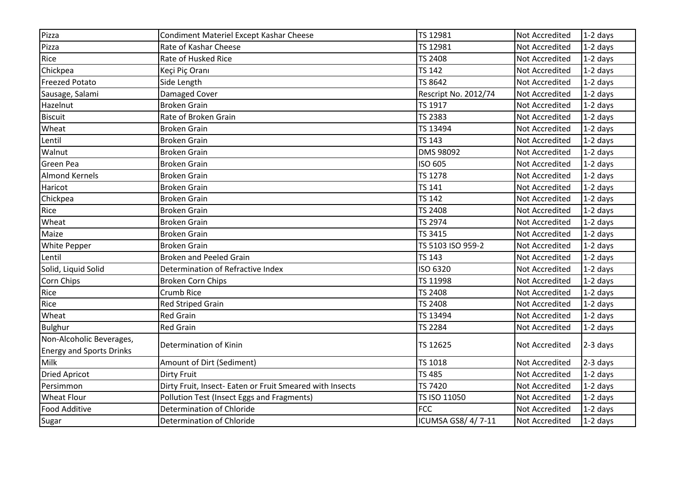| Pizza                                                       | Condiment Materiel Except Kashar Cheese                  | TS 12981             | <b>Not Accredited</b> | $1-2$ days |
|-------------------------------------------------------------|----------------------------------------------------------|----------------------|-----------------------|------------|
| Pizza                                                       | Rate of Kashar Cheese                                    | TS 12981             | Not Accredited        | $1-2$ days |
| Rice                                                        | Rate of Husked Rice                                      | <b>TS 2408</b>       | Not Accredited        | $1-2$ days |
| Chickpea                                                    | Keçi Piç Oranı                                           | <b>TS 142</b>        | <b>Not Accredited</b> | $1-2$ days |
| <b>Freezed Potato</b>                                       | Side Length                                              | TS 8642              | <b>Not Accredited</b> | $1-2$ days |
| Sausage, Salami                                             | Damaged Cover                                            | Rescript No. 2012/74 | Not Accredited        | $1-2$ days |
| Hazelnut                                                    | <b>Broken Grain</b>                                      | TS 1917              | Not Accredited        | $1-2$ days |
| <b>Biscuit</b>                                              | Rate of Broken Grain                                     | <b>TS 2383</b>       | Not Accredited        | $1-2$ days |
| Wheat                                                       | <b>Broken Grain</b>                                      | TS 13494             | Not Accredited        | $1-2$ days |
| Lentil                                                      | <b>Broken Grain</b>                                      | <b>TS 143</b>        | Not Accredited        | $1-2$ days |
| Walnut                                                      | <b>Broken Grain</b>                                      | <b>DMS 98092</b>     | Not Accredited        | $1-2$ days |
| <b>Green Pea</b>                                            | <b>Broken Grain</b>                                      | ISO 605              | Not Accredited        | $1-2$ days |
| <b>Almond Kernels</b>                                       | <b>Broken Grain</b>                                      | <b>TS 1278</b>       | Not Accredited        | $1-2$ days |
| Haricot                                                     | <b>Broken Grain</b>                                      | <b>TS 141</b>        | Not Accredited        | $1-2$ days |
| Chickpea                                                    | <b>Broken Grain</b>                                      | <b>TS 142</b>        | Not Accredited        | $1-2$ days |
| Rice                                                        | <b>Broken Grain</b>                                      | <b>TS 2408</b>       | Not Accredited        | $1-2$ days |
| Wheat                                                       | <b>Broken Grain</b>                                      | TS 2974              | Not Accredited        | $1-2$ days |
| Maize                                                       | <b>Broken Grain</b>                                      | TS 3415              | Not Accredited        | $1-2$ days |
| <b>White Pepper</b>                                         | <b>Broken Grain</b>                                      | TS 5103 ISO 959-2    | <b>Not Accredited</b> | $1-2$ days |
| Lentil                                                      | <b>Broken and Peeled Grain</b>                           | <b>TS 143</b>        | Not Accredited        | $1-2$ days |
| Solid, Liquid Solid                                         | Determination of Refractive Index                        | ISO 6320             | Not Accredited        | $1-2$ days |
| Corn Chips                                                  | <b>Broken Corn Chips</b>                                 | TS 11998             | Not Accredited        | $1-2$ days |
| Rice                                                        | Crumb Rice                                               | <b>TS 2408</b>       | Not Accredited        | $1-2$ days |
| Rice                                                        | <b>Red Striped Grain</b>                                 | <b>TS 2408</b>       | Not Accredited        | $1-2$ days |
| Wheat                                                       | <b>Red Grain</b>                                         | TS 13494             | Not Accredited        | $1-2$ days |
| <b>Bulghur</b>                                              | <b>Red Grain</b>                                         | <b>TS 2284</b>       | Not Accredited        | $1-2$ days |
| Non-Alcoholic Beverages,<br><b>Energy and Sports Drinks</b> | Determination of Kinin                                   | TS 12625             | Not Accredited        | $2-3$ days |
| Milk                                                        | Amount of Dirt (Sediment)                                | <b>TS 1018</b>       | Not Accredited        | $2-3$ days |
| <b>Dried Apricot</b>                                        | <b>Dirty Fruit</b>                                       | <b>TS 485</b>        | Not Accredited        | $1-2$ days |
| Persimmon                                                   | Dirty Fruit, Insect- Eaten or Fruit Smeared with Insects | <b>TS 7420</b>       | <b>Not Accredited</b> | $1-2$ days |
| <b>Wheat Flour</b>                                          | Pollution Test (Insect Eggs and Fragments)               | TS ISO 11050         | Not Accredited        | $1-2$ days |
| <b>Food Additive</b>                                        | Determination of Chloride                                | <b>FCC</b>           | Not Accredited        | $1-2$ days |
| Sugar                                                       | Determination of Chloride                                | ICUMSA GS8/4/7-11    | <b>Not Accredited</b> | $1-2$ days |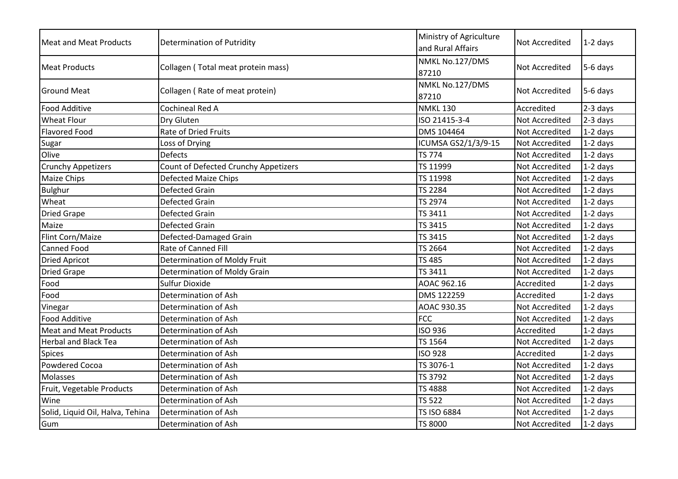| <b>Meat and Meat Products</b>    | <b>Determination of Putridity</b>    | Ministry of Agriculture<br>and Rural Affairs | <b>Not Accredited</b> | $1-2$ days |
|----------------------------------|--------------------------------------|----------------------------------------------|-----------------------|------------|
| <b>Meat Products</b>             | Collagen (Total meat protein mass)   | NMKL No.127/DMS<br>87210                     | <b>Not Accredited</b> | 5-6 days   |
| <b>Ground Meat</b>               | Collagen (Rate of meat protein)      | NMKL No.127/DMS<br>87210                     | <b>Not Accredited</b> | 5-6 days   |
| <b>Food Additive</b>             | <b>Cochineal Red A</b>               | <b>NMKL 130</b>                              | Accredited            | 2-3 days   |
| <b>Wheat Flour</b>               | Dry Gluten                           | ISO 21415-3-4                                | Not Accredited        | $2-3$ days |
| <b>Flavored Food</b>             | <b>Rate of Dried Fruits</b>          | DMS 104464                                   | <b>Not Accredited</b> | $1-2$ days |
| Sugar                            | Loss of Drying                       | ICUMSA GS2/1/3/9-15                          | Not Accredited        | $1-2$ days |
| Olive                            | <b>Defects</b>                       | <b>TS 774</b>                                | <b>Not Accredited</b> | $1-2$ days |
| <b>Crunchy Appetizers</b>        | Count of Defected Crunchy Appetizers | TS 11999                                     | <b>Not Accredited</b> | $1-2$ days |
| Maize Chips                      | <b>Defected Maize Chips</b>          | TS 11998                                     | <b>Not Accredited</b> | $1-2$ days |
| <b>Bulghur</b>                   | <b>Defected Grain</b>                | <b>TS 2284</b>                               | <b>Not Accredited</b> | $1-2$ days |
| Wheat                            | <b>Defected Grain</b>                | <b>TS 2974</b>                               | <b>Not Accredited</b> | $1-2$ days |
| <b>Dried Grape</b>               | <b>Defected Grain</b>                | <b>TS 3411</b>                               | Not Accredited        | $1-2$ days |
| Maize                            | <b>Defected Grain</b>                | TS 3415                                      | Not Accredited        | $1-2$ days |
| Flint Corn/Maize                 | Defected-Damaged Grain               | TS 3415                                      | <b>Not Accredited</b> | $1-2$ days |
| <b>Canned Food</b>               | Rate of Canned Fill                  | TS 2664                                      | Not Accredited        | $1-2$ days |
| <b>Dried Apricot</b>             | Determination of Moldy Fruit         | <b>TS 485</b>                                | <b>Not Accredited</b> | $1-2$ days |
| <b>Dried Grape</b>               | Determination of Moldy Grain         | TS 3411                                      | <b>Not Accredited</b> | $1-2$ days |
| Food                             | <b>Sulfur Dioxide</b>                | AOAC 962.16                                  | Accredited            | $1-2$ days |
| Food                             | Determination of Ash                 | DMS 122259                                   | Accredited            | $1-2$ days |
| Vinegar                          | Determination of Ash                 | AOAC 930.35                                  | <b>Not Accredited</b> | 1-2 days   |
| <b>Food Additive</b>             | Determination of Ash                 | <b>FCC</b>                                   | <b>Not Accredited</b> | $1-2$ days |
| <b>Meat and Meat Products</b>    | Determination of Ash                 | <b>ISO 936</b>                               | Accredited            | $1-2$ days |
| <b>Herbal and Black Tea</b>      | Determination of Ash                 | <b>TS 1564</b>                               | Not Accredited        | $1-2$ days |
| Spices                           | Determination of Ash                 | <b>ISO 928</b>                               | Accredited            | $1-2$ days |
| <b>Powdered Cocoa</b>            | Determination of Ash                 | TS 3076-1                                    | Not Accredited        | $1-2$ days |
| Molasses                         | Determination of Ash                 | TS 3792                                      | Not Accredited        | $1-2$ days |
| Fruit, Vegetable Products        | Determination of Ash                 | <b>TS 4888</b>                               | Not Accredited        | $1-2$ days |
| Wine                             | Determination of Ash                 | <b>TS 522</b>                                | Not Accredited        | $1-2$ days |
| Solid, Liquid Oil, Halva, Tehina | Determination of Ash                 | TS ISO 6884                                  | <b>Not Accredited</b> | $1-2$ days |
| Gum                              | Determination of Ash                 | <b>TS 8000</b>                               | <b>Not Accredited</b> | $1-2$ days |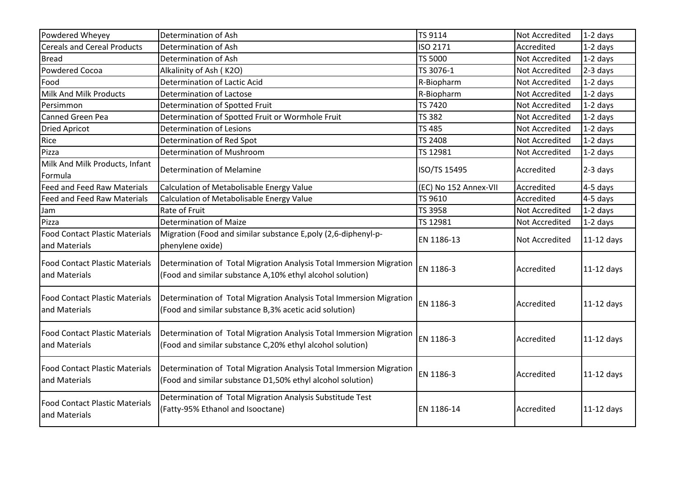| Powdered Wheyey                                        | Determination of Ash                                                                                                              | TS 9114               | Not Accredited        | $1-2$ days   |
|--------------------------------------------------------|-----------------------------------------------------------------------------------------------------------------------------------|-----------------------|-----------------------|--------------|
| <b>Cereals and Cereal Products</b>                     | Determination of Ash                                                                                                              | ISO 2171              | Accredited            | $1-2$ days   |
| <b>Bread</b>                                           | Determination of Ash                                                                                                              | TS 5000               | Not Accredited        | $1-2$ days   |
| <b>Powdered Cocoa</b>                                  | Alkalinity of Ash (K2O)                                                                                                           | TS 3076-1             | Not Accredited        | $2-3$ days   |
| Food                                                   | Determination of Lactic Acid                                                                                                      | R-Biopharm            | Not Accredited        | $1-2$ days   |
| Milk And Milk Products                                 | Determination of Lactose                                                                                                          | R-Biopharm            | Not Accredited        | $1-2$ days   |
| Persimmon                                              | Determination of Spotted Fruit                                                                                                    | TS 7420               | Not Accredited        | $1-2$ days   |
| Canned Green Pea                                       | Determination of Spotted Fruit or Wormhole Fruit                                                                                  | <b>TS 382</b>         | Not Accredited        | $1-2$ days   |
| <b>Dried Apricot</b>                                   | <b>Determination of Lesions</b>                                                                                                   | <b>TS 485</b>         | <b>Not Accredited</b> | $1-2$ days   |
| Rice                                                   | Determination of Red Spot                                                                                                         | <b>TS 2408</b>        | <b>Not Accredited</b> | $1-2$ days   |
| Pizza                                                  | Determination of Mushroom                                                                                                         | TS 12981              | <b>Not Accredited</b> | $1-2$ days   |
| Milk And Milk Products, Infant<br>Formula              | <b>Determination of Melamine</b>                                                                                                  | ISO/TS 15495          | Accredited            | $2-3$ days   |
| <b>Feed and Feed Raw Materials</b>                     | Calculation of Metabolisable Energy Value                                                                                         | (EC) No 152 Annex-VII | Accredited            | $4-5$ days   |
| <b>Feed and Feed Raw Materials</b>                     | Calculation of Metabolisable Energy Value                                                                                         | TS 9610               | Accredited            | $4-5$ days   |
| Jam                                                    | Rate of Fruit                                                                                                                     | TS 3958               | <b>Not Accredited</b> | $1-2$ days   |
| Pizza                                                  | <b>Determination of Maize</b>                                                                                                     | TS 12981              | Not Accredited        | $1-2$ days   |
| <b>Food Contact Plastic Materials</b><br>and Materials | Migration (Food and similar substance E,poly (2,6-diphenyl-p-<br>phenylene oxide)                                                 | EN 1186-13            | <b>Not Accredited</b> | $11-12$ days |
| <b>Food Contact Plastic Materials</b><br>and Materials | Determination of Total Migration Analysis Total Immersion Migration<br>(Food and similar substance A,10% ethyl alcohol solution)  | EN 1186-3             | Accredited            | $11-12$ days |
| <b>Food Contact Plastic Materials</b><br>and Materials | Determination of Total Migration Analysis Total Immersion Migration<br>(Food and similar substance B,3% acetic acid solution)     | EN 1186-3             | Accredited            | 11-12 days   |
| <b>Food Contact Plastic Materials</b><br>and Materials | Determination of Total Migration Analysis Total Immersion Migration<br>(Food and similar substance C,20% ethyl alcohol solution)  | EN 1186-3             | Accredited            | $11-12$ days |
| <b>Food Contact Plastic Materials</b><br>and Materials | Determination of Total Migration Analysis Total Immersion Migration<br>(Food and similar substance D1,50% ethyl alcohol solution) | EN 1186-3             | Accredited            | $11-12$ days |
| <b>Food Contact Plastic Materials</b><br>and Materials | Determination of Total Migration Analysis Substitude Test<br>(Fatty-95% Ethanol and Isooctane)                                    | EN 1186-14            | Accredited            | $11-12$ days |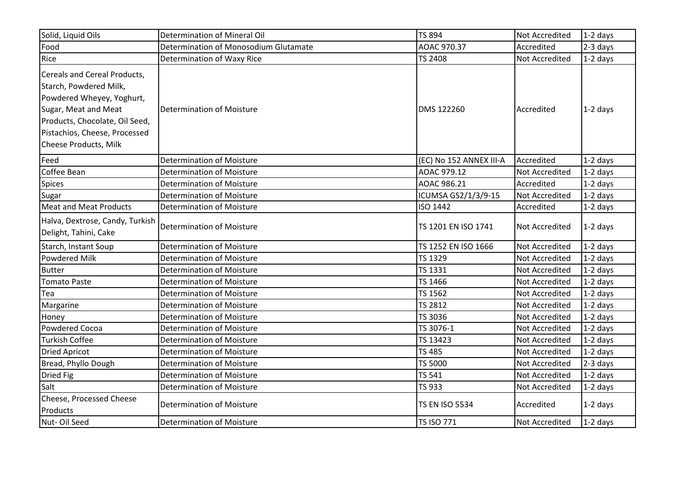| Solid, Liquid Oils                                                                                                                                                                                             | Determination of Mineral Oil          | <b>TS 894</b>           | <b>Not Accredited</b> | $1-2$ days |
|----------------------------------------------------------------------------------------------------------------------------------------------------------------------------------------------------------------|---------------------------------------|-------------------------|-----------------------|------------|
| Food                                                                                                                                                                                                           | Determination of Monosodium Glutamate | AOAC 970.37             | Accredited            | 2-3 days   |
| Rice                                                                                                                                                                                                           | Determination of Waxy Rice            | <b>TS 2408</b>          | <b>Not Accredited</b> | $1-2$ days |
| Cereals and Cereal Products,<br>Starch, Powdered Milk,<br>Powdered Wheyey, Yoghurt,<br>Sugar, Meat and Meat<br>Products, Chocolate, Oil Seed,<br>Pistachios, Cheese, Processed<br><b>Cheese Products, Milk</b> | <b>Determination of Moisture</b>      | DMS 122260              | Accredited            | $1-2$ days |
| Feed                                                                                                                                                                                                           | <b>Determination of Moisture</b>      | (EC) No 152 ANNEX III-A | Accredited            | $1-2$ days |
| Coffee Bean                                                                                                                                                                                                    | <b>Determination of Moisture</b>      | AOAC 979.12             | Not Accredited        | $1-2$ days |
| Spices                                                                                                                                                                                                         | <b>Determination of Moisture</b>      | AOAC 986.21             | Accredited            | 1-2 days   |
| Sugar                                                                                                                                                                                                          | <b>Determination of Moisture</b>      | ICUMSA GS2/1/3/9-15     | Not Accredited        | $1-2$ days |
| <b>Meat and Meat Products</b>                                                                                                                                                                                  | <b>Determination of Moisture</b>      | ISO 1442                | Accredited            | $1-2$ days |
| Halva, Dextrose, Candy, Turkish<br>Delight, Tahini, Cake                                                                                                                                                       | <b>Determination of Moisture</b>      | TS 1201 EN ISO 1741     | Not Accredited        | $1-2$ days |
| Starch, Instant Soup                                                                                                                                                                                           | <b>Determination of Moisture</b>      | TS 1252 EN ISO 1666     | <b>Not Accredited</b> | $1-2$ days |
| <b>Powdered Milk</b>                                                                                                                                                                                           | <b>Determination of Moisture</b>      | TS 1329                 | Not Accredited        | $1-2$ days |
| <b>Butter</b>                                                                                                                                                                                                  | <b>Determination of Moisture</b>      | TS 1331                 | Not Accredited        | $1-2$ days |
| <b>Tomato Paste</b>                                                                                                                                                                                            | <b>Determination of Moisture</b>      | TS 1466                 | Not Accredited        | $1-2$ days |
| Tea                                                                                                                                                                                                            | <b>Determination of Moisture</b>      | TS 1562                 | Not Accredited        | $1-2$ days |
| Margarine                                                                                                                                                                                                      | <b>Determination of Moisture</b>      | <b>TS 2812</b>          | Not Accredited        | $1-2$ days |
| Honey                                                                                                                                                                                                          | <b>Determination of Moisture</b>      | TS 3036                 | Not Accredited        | $1-2$ days |
| <b>Powdered Cocoa</b>                                                                                                                                                                                          | <b>Determination of Moisture</b>      | TS 3076-1               | Not Accredited        | $1-2$ days |
| <b>Turkish Coffee</b>                                                                                                                                                                                          | <b>Determination of Moisture</b>      | TS 13423                | Not Accredited        | $1-2$ days |
| <b>Dried Apricot</b>                                                                                                                                                                                           | <b>Determination of Moisture</b>      | <b>TS 485</b>           | Not Accredited        | $1-2$ days |
| Bread, Phyllo Dough                                                                                                                                                                                            | <b>Determination of Moisture</b>      | <b>TS 5000</b>          | Not Accredited        | $2-3$ days |
| Dried Fig                                                                                                                                                                                                      | <b>Determination of Moisture</b>      | <b>TS 541</b>           | Not Accredited        | $1-2$ days |
| Salt                                                                                                                                                                                                           | <b>Determination of Moisture</b>      | <b>TS 933</b>           | Not Accredited        | $1-2$ days |
| Cheese, Processed Cheese<br>Products                                                                                                                                                                           | <b>Determination of Moisture</b>      | <b>TS EN ISO 5534</b>   | Accredited            | $1-2$ days |
| Nut-Oil Seed                                                                                                                                                                                                   | <b>Determination of Moisture</b>      | <b>TS ISO 771</b>       | Not Accredited        | $1-2$ days |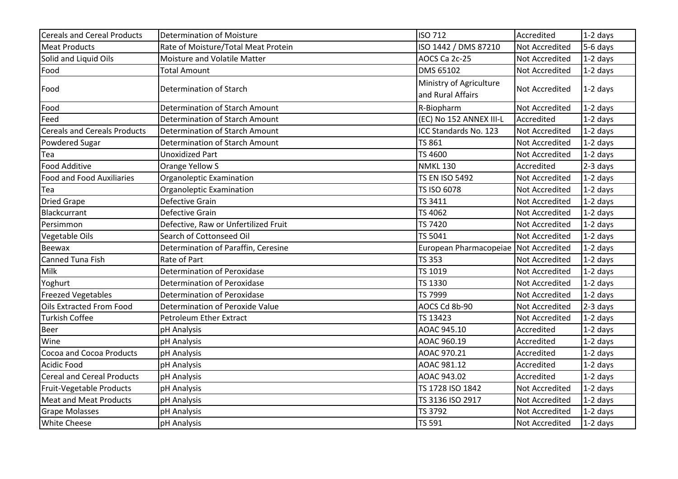| <b>Cereals and Cereal Products</b>  | <b>Determination of Moisture</b>     | <b>ISO 712</b>                               | Accredited     | $1-2$ days |
|-------------------------------------|--------------------------------------|----------------------------------------------|----------------|------------|
| <b>Meat Products</b>                | Rate of Moisture/Total Meat Protein  | ISO 1442 / DMS 87210                         | Not Accredited | $5-6$ days |
| Solid and Liquid Oils               | Moisture and Volatile Matter         | AOCS Ca 2c-25                                | Not Accredited | $1-2$ days |
| Food                                | <b>Total Amount</b>                  | DMS 65102                                    | Not Accredited | $1-2$ days |
| Food                                | Determination of Starch              | Ministry of Agriculture<br>and Rural Affairs | Not Accredited | $1-2$ days |
| Food                                | Determination of Starch Amount       | R-Biopharm                                   | Not Accredited | $1-2$ days |
| Feed                                | Determination of Starch Amount       | (EC) No 152 ANNEX III-L                      | Accredited     | 1-2 days   |
| <b>Cereals and Cereals Products</b> | Determination of Starch Amount       | ICC Standards No. 123                        | Not Accredited | $1-2$ days |
| <b>Powdered Sugar</b>               | Determination of Starch Amount       | TS 861                                       | Not Accredited | $1-2$ days |
| Tea                                 | <b>Unoxidized Part</b>               | TS 4600                                      | Not Accredited | $1-2$ days |
| Food Additive                       | Orange Yellow S                      | <b>NMKL 130</b>                              | Accredited     | 2-3 days   |
| <b>Food and Food Auxiliaries</b>    | Organoleptic Examination             | <b>TS EN ISO 5492</b>                        | Not Accredited | $1-2$ days |
| Tea                                 | Organoleptic Examination             | TS ISO 6078                                  | Not Accredited | $1-2$ days |
| <b>Dried Grape</b>                  | Defective Grain                      | TS 3411                                      | Not Accredited | $1-2$ days |
| Blackcurrant                        | <b>Defective Grain</b>               | TS 4062                                      | Not Accredited | $1-2$ days |
| Persimmon                           | Defective, Raw or Unfertilized Fruit | TS 7420                                      | Not Accredited | 1-2 days   |
| Vegetable Oils                      | Search of Cottonseed Oil             | TS 5041                                      | Not Accredited | $1-2$ days |
| Beewax                              | Determination of Paraffin, Ceresine  | European Pharmacopeiae                       | Not Accredited | $1-2$ days |
| Canned Tuna Fish                    | Rate of Part                         | <b>TS 353</b>                                | Not Accredited | 1-2 days   |
| Milk                                | Determination of Peroxidase          | TS 1019                                      | Not Accredited | $1-2$ days |
| Yoghurt                             | Determination of Peroxidase          | TS 1330                                      | Not Accredited | $1-2$ days |
| <b>Freezed Vegetables</b>           | Determination of Peroxidase          | TS 7999                                      | Not Accredited | $1-2$ days |
| <b>Oils Extracted From Food</b>     | Determination of Peroxide Value      | AOCS Cd 8b-90                                | Not Accredited | 2-3 days   |
| <b>Turkish Coffee</b>               | Petroleum Ether Extract              | TS 13423                                     | Not Accredited | $1-2$ days |
| <b>Beer</b>                         | pH Analysis                          | AOAC 945.10                                  | Accredited     | 1-2 days   |
| Wine                                | pH Analysis                          | AOAC 960.19                                  | Accredited     | $1-2$ days |
| Cocoa and Cocoa Products            | pH Analysis                          | AOAC 970.21                                  | Accredited     | $1-2$ days |
| <b>Acidic Food</b>                  | pH Analysis                          | AOAC 981.12                                  | Accredited     | $1-2$ days |
| <b>Cereal and Cereal Products</b>   | pH Analysis                          | AOAC 943.02                                  | Accredited     | $1-2$ days |
| Fruit-Vegetable Products            | pH Analysis                          | TS 1728 ISO 1842                             | Not Accredited | $1-2$ days |
| <b>Meat and Meat Products</b>       | pH Analysis                          | TS 3136 ISO 2917                             | Not Accredited | $1-2$ days |
| <b>Grape Molasses</b>               | pH Analysis                          | TS 3792                                      | Not Accredited | $1-2$ days |
| <b>White Cheese</b>                 | pH Analysis                          | TS 591                                       | Not Accredited | $1-2$ days |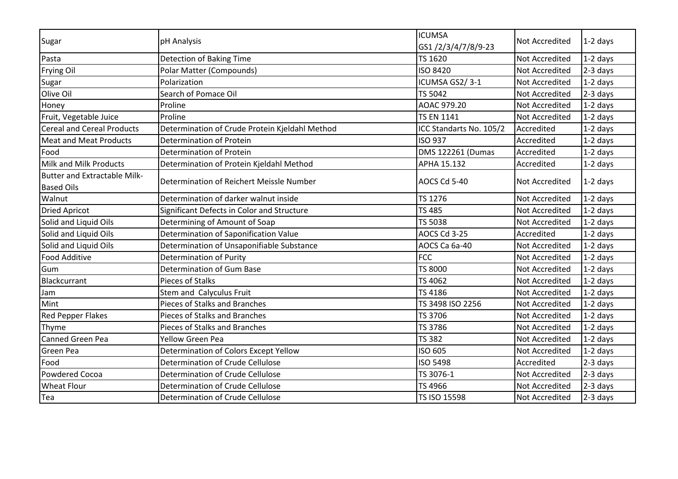| Sugar                                                    | pH Analysis                                    | <b>ICUMSA</b><br>GS1/2/3/4/7/8/9-23 | Not Accredited        | $1-2$ days |
|----------------------------------------------------------|------------------------------------------------|-------------------------------------|-----------------------|------------|
| Pasta                                                    | <b>Detection of Baking Time</b>                | TS 1620                             | <b>Not Accredited</b> | $1-2$ days |
| Frying Oil                                               | Polar Matter (Compounds)                       | <b>ISO 8420</b>                     | Not Accredited        | $2-3$ days |
| Sugar                                                    | Polarization                                   | ICUMSA GS2/3-1                      | Not Accredited        | $1-2$ days |
| Olive Oil                                                | Search of Pomace Oil                           | <b>TS 5042</b>                      | Not Accredited        | 2-3 days   |
| Honey                                                    | Proline                                        | AOAC 979.20                         | <b>Not Accredited</b> | $1-2$ days |
| Fruit, Vegetable Juice                                   | Proline                                        | <b>TS EN 1141</b>                   | <b>Not Accredited</b> | $1-2$ days |
| <b>Cereal and Cereal Products</b>                        | Determination of Crude Protein Kjeldahl Method | ICC Standarts No. 105/2             | Accredited            | $1-2$ days |
| <b>Meat and Meat Products</b>                            | <b>Determination of Protein</b>                | <b>ISO 937</b>                      | Accredited            | $1-2$ days |
| Food                                                     | Determination of Protein                       | DMS 122261 (Dumas                   | Accredited            | 1-2 days   |
| Milk and Milk Products                                   | Determination of Protein Kjeldahl Method       | APHA 15.132                         | Accredited            | 1-2 days   |
| <b>Butter and Extractable Milk-</b><br><b>Based Oils</b> | Determination of Reichert Meissle Number       | AOCS Cd 5-40                        | <b>Not Accredited</b> | $1-2$ days |
| Walnut                                                   | Determination of darker walnut inside          | <b>TS 1276</b>                      | Not Accredited        | $1-2$ days |
| <b>Dried Apricot</b>                                     | Significant Defects in Color and Structure     | TS 485                              | <b>Not Accredited</b> | $1-2$ days |
| Solid and Liquid Oils                                    | Determining of Amount of Soap                  | <b>TS 5038</b>                      | <b>Not Accredited</b> | $1-2$ days |
| Solid and Liquid Oils                                    | Determination of Saponification Value          | AOCS Cd 3-25                        | Accredited            | $1-2$ days |
| Solid and Liquid Oils                                    | Determination of Unsaponifiable Substance      | AOCS Ca 6a-40                       | <b>Not Accredited</b> | $1-2$ days |
| <b>Food Additive</b>                                     | Determination of Purity                        | <b>FCC</b>                          | <b>Not Accredited</b> | $1-2$ days |
| Gum                                                      | Determination of Gum Base                      | <b>TS 8000</b>                      | <b>Not Accredited</b> | $1-2$ days |
| Blackcurrant                                             | Pieces of Stalks                               | TS 4062                             | Not Accredited        | $1-2$ days |
| Jam                                                      | Stem and Calyculus Fruit                       | TS 4186                             | <b>Not Accredited</b> | $1-2$ days |
| Mint                                                     | Pieces of Stalks and Branches                  | TS 3498 ISO 2256                    | Not Accredited        | 1-2 days   |
| <b>Red Pepper Flakes</b>                                 | Pieces of Stalks and Branches                  | TS 3706                             | <b>Not Accredited</b> | $1-2$ days |
| Thyme                                                    | Pieces of Stalks and Branches                  | TS 3786                             | <b>Not Accredited</b> | $1-2$ days |
| Canned Green Pea                                         | <b>Yellow Green Pea</b>                        | <b>TS 382</b>                       | <b>Not Accredited</b> | $1-2$ days |
| Green Pea                                                | Determination of Colors Except Yellow          | ISO 605                             | <b>Not Accredited</b> | $1-2$ days |
| Food                                                     | Determination of Crude Cellulose               | <b>ISO 5498</b>                     | Accredited            | 2-3 days   |
| Powdered Cocoa                                           | Determination of Crude Cellulose               | TS 3076-1                           | <b>Not Accredited</b> | 2-3 days   |
| <b>Wheat Flour</b>                                       | Determination of Crude Cellulose               | TS 4966                             | <b>Not Accredited</b> | 2-3 days   |
| Tea                                                      | Determination of Crude Cellulose               | TS ISO 15598                        | Not Accredited        | 2-3 days   |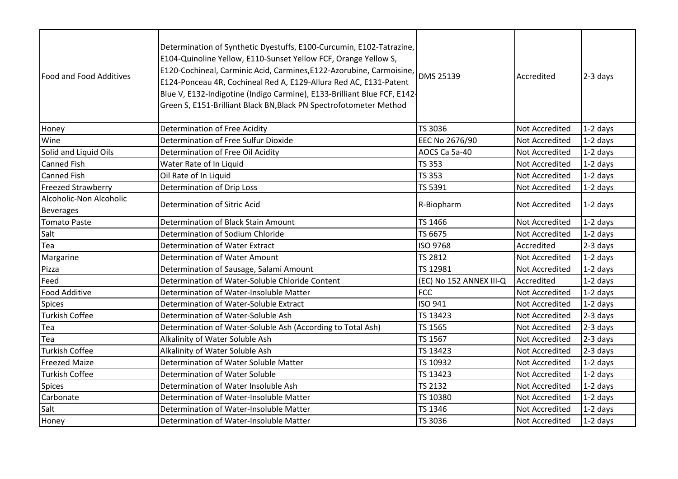| <b>Food and Food Additives</b>              | Determination of Synthetic Dyestuffs, E100-Curcumin, E102-Tatrazine,<br>E104-Quinoline Yellow, E110-Sunset Yellow FCF, Orange Yellow S,<br>E120-Cochineal, Carminic Acid, Carmines, E122-Azorubine, Carmoisine,<br>E124-Ponceau 4R, Cochineal Red A, E129-Allura Red AC, E131-Patent<br>Blue V, E132-Indigotine (Indigo Carmine), E133-Brilliant Blue FCF, E142-<br>Green S, E151-Brilliant Black BN, Black PN Spectrofotometer Method | <b>DMS 25139</b>        | Accredited            | $2-3$ days |
|---------------------------------------------|----------------------------------------------------------------------------------------------------------------------------------------------------------------------------------------------------------------------------------------------------------------------------------------------------------------------------------------------------------------------------------------------------------------------------------------|-------------------------|-----------------------|------------|
| Honey                                       | Determination of Free Acidity                                                                                                                                                                                                                                                                                                                                                                                                          | TS 3036                 | Not Accredited        | $1-2$ days |
| Wine                                        | Determination of Free Sulfur Dioxide                                                                                                                                                                                                                                                                                                                                                                                                   | EEC No 2676/90          | Not Accredited        | $1-2$ days |
| Solid and Liquid Oils                       | Determination of Free Oil Acidity                                                                                                                                                                                                                                                                                                                                                                                                      | AOCS Ca 5a-40           | Not Accredited        | $1-2$ days |
| <b>Canned Fish</b>                          | Water Rate of In Liquid                                                                                                                                                                                                                                                                                                                                                                                                                | <b>TS 353</b>           | Not Accredited        | $1-2$ days |
| <b>Canned Fish</b>                          | Oil Rate of In Liquid                                                                                                                                                                                                                                                                                                                                                                                                                  | <b>TS 353</b>           | <b>Not Accredited</b> | $1-2$ days |
| <b>Freezed Strawberry</b>                   | <b>Determination of Drip Loss</b>                                                                                                                                                                                                                                                                                                                                                                                                      | TS 5391                 | Not Accredited        | $1-2$ days |
| Alcoholic-Non Alcoholic<br><b>Beverages</b> | Determination of Sitric Acid                                                                                                                                                                                                                                                                                                                                                                                                           | R-Biopharm              | Not Accredited        | $1-2$ days |
| Tomato Paste                                | Determination of Black Stain Amount                                                                                                                                                                                                                                                                                                                                                                                                    | TS 1466                 | Not Accredited        | $1-2$ days |
| Salt                                        | Determination of Sodium Chloride                                                                                                                                                                                                                                                                                                                                                                                                       | TS 6675                 | Not Accredited        | $1-2$ days |
| Tea                                         | Determination of Water Extract                                                                                                                                                                                                                                                                                                                                                                                                         | ISO 9768                | Accredited            | $2-3$ days |
| Margarine                                   | <b>Determination of Water Amount</b>                                                                                                                                                                                                                                                                                                                                                                                                   | <b>TS 2812</b>          | <b>Not Accredited</b> | $1-2$ days |
| Pizza                                       | Determination of Sausage, Salami Amount                                                                                                                                                                                                                                                                                                                                                                                                | TS 12981                | Not Accredited        | $1-2$ days |
| Feed                                        | Determination of Water-Soluble Chloride Content                                                                                                                                                                                                                                                                                                                                                                                        | (EC) No 152 ANNEX III-Q | Accredited            | $1-2$ days |
| <b>Food Additive</b>                        | Determination of Water-Insoluble Matter                                                                                                                                                                                                                                                                                                                                                                                                | <b>FCC</b>              | Not Accredited        | $1-2$ days |
| <b>Spices</b>                               | Determination of Water-Soluble Extract                                                                                                                                                                                                                                                                                                                                                                                                 | ISO 941                 | Not Accredited        | $1-2$ days |
| <b>Turkish Coffee</b>                       | Determination of Water-Soluble Ash                                                                                                                                                                                                                                                                                                                                                                                                     | TS 13423                | Not Accredited        | 2-3 days   |
| Tea                                         | Determination of Water-Soluble Ash (According to Total Ash)                                                                                                                                                                                                                                                                                                                                                                            | TS 1565                 | Not Accredited        | $2-3$ days |
| Tea                                         | Alkalinity of Water Soluble Ash                                                                                                                                                                                                                                                                                                                                                                                                        | TS 1567                 | <b>Not Accredited</b> | $2-3$ days |
| <b>Turkish Coffee</b>                       | Alkalinity of Water Soluble Ash                                                                                                                                                                                                                                                                                                                                                                                                        | TS 13423                | Not Accredited        | $2-3$ days |
| <b>Freezed Maize</b>                        | Determination of Water Soluble Matter                                                                                                                                                                                                                                                                                                                                                                                                  | TS 10932                | <b>Not Accredited</b> | $1-2$ days |
| <b>Turkish Coffee</b>                       | Determination of Water Soluble                                                                                                                                                                                                                                                                                                                                                                                                         | TS 13423                | Not Accredited        | $1-2$ days |
| <b>Spices</b>                               | Determination of Water Insoluble Ash                                                                                                                                                                                                                                                                                                                                                                                                   | <b>TS 2132</b>          | <b>Not Accredited</b> | $1-2$ days |
| Carbonate                                   | Determination of Water-Insoluble Matter                                                                                                                                                                                                                                                                                                                                                                                                | TS 10380                | Not Accredited        | $1-2$ days |
| Salt                                        | Determination of Water-Insoluble Matter                                                                                                                                                                                                                                                                                                                                                                                                | TS 1346                 | <b>Not Accredited</b> | $1-2$ days |
| Honey                                       | Determination of Water-Insoluble Matter                                                                                                                                                                                                                                                                                                                                                                                                | TS 3036                 | <b>Not Accredited</b> | $1-2$ days |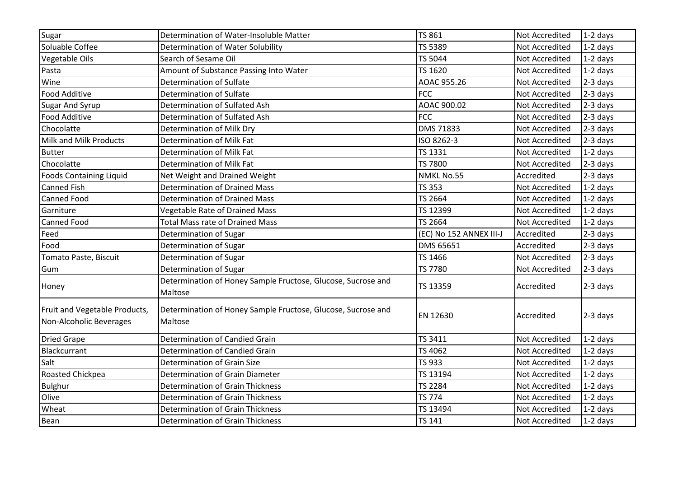| Sugar                                                    | Determination of Water-Insoluble Matter                                 | <b>TS 861</b>           | Not Accredited        | $1-2$ days |
|----------------------------------------------------------|-------------------------------------------------------------------------|-------------------------|-----------------------|------------|
| Soluable Coffee                                          | Determination of Water Solubility                                       | TS 5389                 | Not Accredited        | 1-2 days   |
| Vegetable Oils                                           | Search of Sesame Oil                                                    | TS 5044                 | Not Accredited        | $1-2$ days |
| Pasta                                                    | Amount of Substance Passing Into Water                                  | TS 1620                 | <b>Not Accredited</b> | 1-2 days   |
| Wine                                                     | Determination of Sulfate                                                | AOAC 955.26             | Not Accredited        | 2-3 days   |
| <b>Food Additive</b>                                     | Determination of Sulfate                                                | <b>FCC</b>              | Not Accredited        | 2-3 days   |
| <b>Sugar And Syrup</b>                                   | Determination of Sulfated Ash                                           | AOAC 900.02             | Not Accredited        | 2-3 days   |
| Food Additive                                            | Determination of Sulfated Ash                                           | <b>FCC</b>              | <b>Not Accredited</b> | $2-3$ days |
| Chocolatte                                               | Determination of Milk Dry                                               | <b>DMS 71833</b>        | <b>Not Accredited</b> | 2-3 days   |
| Milk and Milk Products                                   | Determination of Milk Fat                                               | ISO 8262-3              | Not Accredited        | 2-3 days   |
| <b>Butter</b>                                            | Determination of Milk Fat                                               | TS 1331                 | <b>Not Accredited</b> | $1-2$ days |
| Chocolatte                                               | Determination of Milk Fat                                               | <b>TS 7800</b>          | Not Accredited        | 2-3 days   |
| <b>Foods Containing Liquid</b>                           | Net Weight and Drained Weight                                           | NMKL No.55              | Accredited            | 2-3 days   |
| Canned Fish                                              | <b>Determination of Drained Mass</b>                                    | <b>TS 353</b>           | Not Accredited        | $1-2$ days |
| Canned Food                                              | Determination of Drained Mass                                           | TS 2664                 | Not Accredited        | $1-2$ days |
| Garniture                                                | Vegetable Rate of Drained Mass                                          | TS 12399                | Not Accredited        | $1-2$ days |
| Canned Food                                              | <b>Total Mass rate of Drained Mass</b>                                  | TS 2664                 | Not Accredited        | 1-2 days   |
| Feed                                                     | Determination of Sugar                                                  | (EC) No 152 ANNEX III-J | Accredited            | $2-3$ days |
| Food                                                     | Determination of Sugar                                                  | DMS 65651               | Accredited            | 2-3 days   |
| Tomato Paste, Biscuit                                    | Determination of Sugar                                                  | TS 1466                 | Not Accredited        | 2-3 days   |
| Gum                                                      | Determination of Sugar                                                  | TS 7780                 | Not Accredited        | 2-3 days   |
| Honey                                                    | Determination of Honey Sample Fructose, Glucose, Sucrose and<br>Maltose | TS 13359                | Accredited            | $2-3$ days |
| Fruit and Vegetable Products,<br>Non-Alcoholic Beverages | Determination of Honey Sample Fructose, Glucose, Sucrose and<br>Maltose | EN 12630                | Accredited            | 2-3 days   |
| <b>Dried Grape</b>                                       | Determination of Candied Grain                                          | TS 3411                 | Not Accredited        | $1-2$ days |
| <b>Blackcurrant</b>                                      | Determination of Candied Grain                                          | TS 4062                 | <b>Not Accredited</b> | $1-2$ days |
| Salt                                                     | <b>Determination of Grain Size</b>                                      | TS 933                  | Not Accredited        | $1-2$ days |
| Roasted Chickpea                                         | Determination of Grain Diameter                                         | TS 13194                | Not Accredited        | $1-2$ days |
| <b>Bulghur</b>                                           | <b>Determination of Grain Thickness</b>                                 | <b>TS 2284</b>          | Not Accredited        | $1-2$ days |
| Olive                                                    | <b>Determination of Grain Thickness</b>                                 | <b>TS 774</b>           | Not Accredited        | $1-2$ days |
| Wheat                                                    | <b>Determination of Grain Thickness</b>                                 | TS 13494                | Not Accredited        | $1-2$ days |
| Bean                                                     | <b>Determination of Grain Thickness</b>                                 | <b>TS 141</b>           | Not Accredited        | $1-2$ days |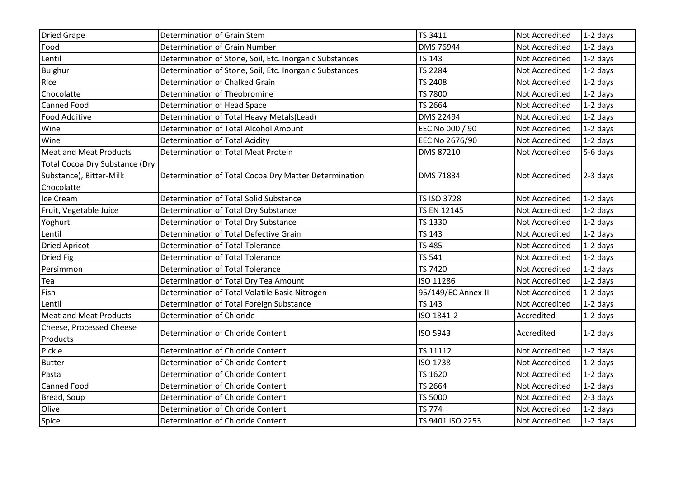| <b>Dried Grape</b>                    | Determination of Grain Stem                             | TS 3411            | Not Accredited        | $1-2$ days |
|---------------------------------------|---------------------------------------------------------|--------------------|-----------------------|------------|
| Food                                  | Determination of Grain Number                           | <b>DMS 76944</b>   | Not Accredited        | $1-2$ days |
| Lentil                                | Determination of Stone, Soil, Etc. Inorganic Substances | <b>TS 143</b>      | <b>Not Accredited</b> | $1-2$ days |
| <b>Bulghur</b>                        | Determination of Stone, Soil, Etc. Inorganic Substances | <b>TS 2284</b>     | <b>Not Accredited</b> | $1-2$ days |
| Rice                                  | Determination of Chalked Grain                          | <b>TS 2408</b>     | Not Accredited        | $1-2$ days |
| Chocolatte                            | Determination of Theobromine                            | <b>TS 7800</b>     | Not Accredited        | $1-2$ days |
| <b>Canned Food</b>                    | Determination of Head Space                             | TS 2664            | Not Accredited        | $1-2$ days |
| Food Additive                         | Determination of Total Heavy Metals(Lead)               | <b>DMS 22494</b>   | Not Accredited        | $1-2$ days |
| Wine                                  | Determination of Total Alcohol Amount                   | EEC No 000 / 90    | Not Accredited        | $1-2$ days |
| Wine                                  | Determination of Total Acidity                          | EEC No 2676/90     | Not Accredited        | $1-2$ days |
| <b>Meat and Meat Products</b>         | Determination of Total Meat Protein                     | DMS 87210          | <b>Not Accredited</b> | 5-6 days   |
| <b>Total Cocoa Dry Substance (Dry</b> |                                                         |                    |                       |            |
| Substance), Bitter-Milk               | Determination of Total Cocoa Dry Matter Determination   | DMS 71834          | <b>Not Accredited</b> | $2-3$ days |
| Chocolatte                            |                                                         |                    |                       |            |
| Ice Cream                             | Determination of Total Solid Substance                  | <b>TS ISO 3728</b> | <b>Not Accredited</b> | $1-2$ days |
| Fruit, Vegetable Juice                | Determination of Total Dry Substance                    | <b>TS EN 12145</b> | Not Accredited        | $1-2$ days |
| Yoghurt                               | Determination of Total Dry Substance                    | TS 1330            | <b>Not Accredited</b> | $1-2$ days |
| Lentil                                | Determination of Total Defective Grain                  | <b>TS 143</b>      | Not Accredited        | $1-2$ days |
| <b>Dried Apricot</b>                  | Determination of Total Tolerance                        | <b>TS 485</b>      | Not Accredited        | $1-2$ days |
| <b>Dried Fig</b>                      | <b>Determination of Total Tolerance</b>                 | <b>TS 541</b>      | Not Accredited        | 1-2 days   |
| Persimmon                             | Determination of Total Tolerance                        | <b>TS 7420</b>     | <b>Not Accredited</b> | $1-2$ days |
| Tea                                   | Determination of Total Dry Tea Amount                   | ISO 11286          | Not Accredited        | $1-2$ days |
| Fish                                  | Determination of Total Volatile Basic Nitrogen          | 95/149/EC Annex-II | <b>Not Accredited</b> | $1-2$ days |
| Lentil                                | Determination of Total Foreign Substance                | <b>TS 143</b>      | Not Accredited        | $1-2$ days |
| <b>Meat and Meat Products</b>         | Determination of Chloride                               | ISO 1841-2         | Accredited            | 1-2 days   |
| Cheese, Processed Cheese              | Determination of Chloride Content                       | ISO 5943           | Accredited            | $1-2$ days |
| Products                              |                                                         |                    |                       |            |
| Pickle                                | Determination of Chloride Content                       | TS 11112           | Not Accredited        | $1-2$ days |
| <b>Butter</b>                         | Determination of Chloride Content                       | <b>ISO 1738</b>    | Not Accredited        | $1-2$ days |
| Pasta                                 | Determination of Chloride Content                       | TS 1620            | Not Accredited        | $1-2$ days |
| Canned Food                           | Determination of Chloride Content                       | TS 2664            | Not Accredited        | $1-2$ days |
| Bread, Soup                           | Determination of Chloride Content                       | TS 5000            | Not Accredited        | 2-3 days   |
| Olive                                 | Determination of Chloride Content                       | <b>TS 774</b>      | Not Accredited        | 1-2 days   |
| Spice                                 | Determination of Chloride Content                       | TS 9401 ISO 2253   | Not Accredited        | $1-2$ days |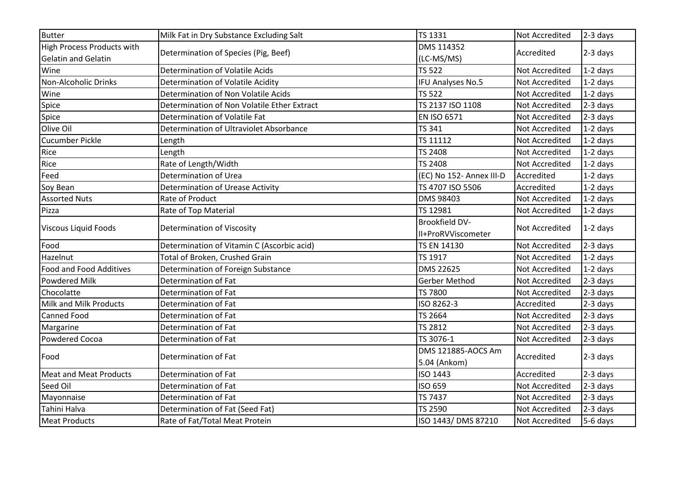| <b>Butter</b>                                                   | Milk Fat in Dry Substance Excluding Salt    | <b>TS 1331</b>                              | Not Accredited        | $2-3$ days |
|-----------------------------------------------------------------|---------------------------------------------|---------------------------------------------|-----------------------|------------|
| <b>High Process Products with</b><br><b>Gelatin and Gelatin</b> | Determination of Species (Pig, Beef)        | DMS 114352<br>(LC-MS/MS)                    | Accredited            | $2-3$ days |
| Wine                                                            | Determination of Volatile Acids             | <b>TS 522</b>                               | <b>Not Accredited</b> | $1-2$ days |
| Non-Alcoholic Drinks                                            | Determination of Volatile Acidity           | IFU Analyses No.5                           | Not Accredited        | $1-2$ days |
| Wine                                                            | Determination of Non Volatile Acids         | <b>TS 522</b>                               | <b>Not Accredited</b> | $1-2$ days |
| Spice                                                           | Determination of Non Volatile Ether Extract | TS 2137 ISO 1108                            | Not Accredited        | $2-3$ days |
| Spice                                                           | Determination of Volatile Fat               | <b>EN ISO 6571</b>                          | <b>Not Accredited</b> | 2-3 days   |
| Olive Oil                                                       | Determination of Ultraviolet Absorbance     | <b>TS 341</b>                               | Not Accredited        | $1-2$ days |
| <b>Cucumber Pickle</b>                                          | Length                                      | TS 11112                                    | Not Accredited        | $1-2$ days |
| Rice                                                            | Length                                      | <b>TS 2408</b>                              | Not Accredited        | $1-2$ days |
| Rice                                                            | Rate of Length/Width                        | <b>TS 2408</b>                              | Not Accredited        | $1-2$ days |
| Feed                                                            | Determination of Urea                       | (EC) No 152- Annex III-D                    | Accredited            | $1-2$ days |
| Soy Bean                                                        | Determination of Urease Activity            | TS 4707 ISO 5506                            | Accredited            | $1-2$ days |
| <b>Assorted Nuts</b>                                            | Rate of Product                             | DMS 98403                                   | <b>Not Accredited</b> | $1-2$ days |
| Pizza                                                           | Rate of Top Material                        | TS 12981                                    | Not Accredited        | $1-2$ days |
| <b>Viscous Liquid Foods</b>                                     | Determination of Viscosity                  | <b>Brookfield DV-</b><br>II+ProRVViscometer | <b>Not Accredited</b> | $1-2$ days |
| Food                                                            | Determination of Vitamin C (Ascorbic acid)  | TS EN 14130                                 | Not Accredited        | $2-3$ days |
| Hazelnut                                                        | Total of Broken, Crushed Grain              | TS 1917                                     | Not Accredited        | $1-2$ days |
| <b>Food and Food Additives</b>                                  | Determination of Foreign Substance          | DMS 22625                                   | Not Accredited        | $1-2$ days |
| Powdered Milk                                                   | Determination of Fat                        | Gerber Method                               | Not Accredited        | $2-3$ days |
| Chocolatte                                                      | Determination of Fat                        | <b>TS 7800</b>                              | Not Accredited        | $2-3$ days |
| Milk and Milk Products                                          | Determination of Fat                        | ISO 8262-3                                  | Accredited            | 2-3 days   |
| Canned Food                                                     | Determination of Fat                        | <b>TS 2664</b>                              | Not Accredited        | $2-3$ days |
| Margarine                                                       | Determination of Fat                        | <b>TS 2812</b>                              | Not Accredited        | $2-3$ days |
| <b>Powdered Cocoa</b>                                           | Determination of Fat                        | TS 3076-1                                   | Not Accredited        | 2-3 days   |
| Food                                                            | Determination of Fat                        | DMS 121885-AOCS Am<br>5.04 (Ankom)          | Accredited            | $2-3$ days |
| <b>Meat and Meat Products</b>                                   | Determination of Fat                        | <b>ISO 1443</b>                             | Accredited            | $2-3$ days |
| Seed Oil                                                        | Determination of Fat                        | ISO 659                                     | <b>Not Accredited</b> | $2-3$ days |
| Mayonnaise                                                      | Determination of Fat                        | <b>TS 7437</b>                              | Not Accredited        | $2-3$ days |
| Tahini Halva                                                    | Determination of Fat (Seed Fat)             | <b>TS 2590</b>                              | Not Accredited        | $2-3$ days |
| <b>Meat Products</b>                                            | Rate of Fat/Total Meat Protein              | ISO 1443/DMS 87210                          | <b>Not Accredited</b> | 5-6 days   |